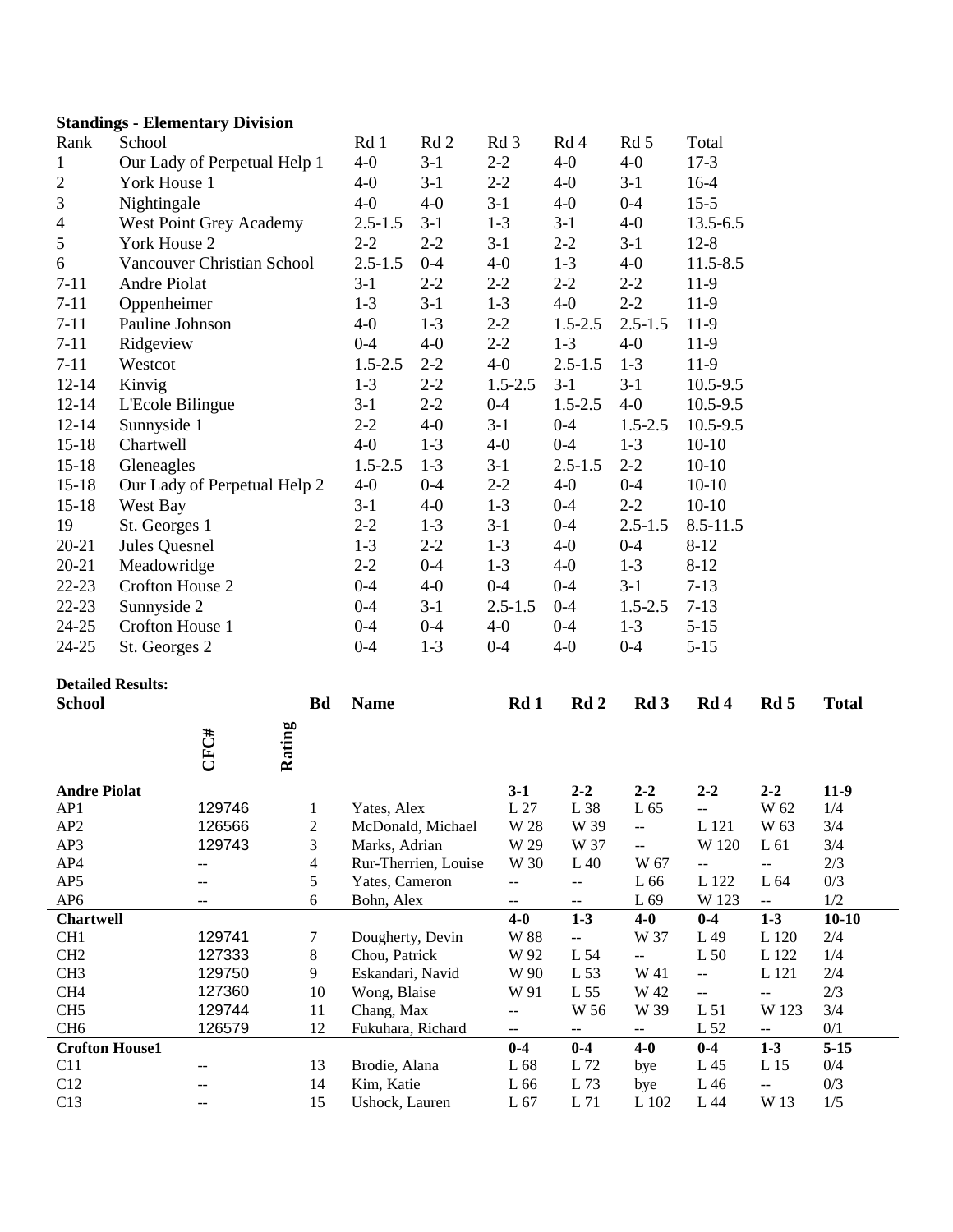| Rank                  | School                       |                              |        |                         | Rd 1                         | Rd <sub>2</sub>      | Rd 3                     | Rd 4                     | Rd 5                     | Total                    |                                   |              |  |
|-----------------------|------------------------------|------------------------------|--------|-------------------------|------------------------------|----------------------|--------------------------|--------------------------|--------------------------|--------------------------|-----------------------------------|--------------|--|
| $\mathbf 1$           | Our Lady of Perpetual Help 1 |                              |        | $4-0$                   | $3-1$                        | $2 - 2$              | $4-0$                    | $4-0$                    | $17-3$                   |                          |                                   |              |  |
| $\overline{c}$        | York House 1                 |                              |        | $4-0$                   | $3-1$                        | $2 - 2$              | $4-0$                    | $3-1$                    | $16-4$                   |                          |                                   |              |  |
| 3                     | Nightingale                  |                              |        |                         | $4-0$                        | $4-0$                | $3-1$                    | $4-0$                    | $0 - 4$                  | $15-5$                   |                                   |              |  |
| 4                     | West Point Grey Academy      |                              |        | $2.5 - 1.5$             | $3-1$                        | $1-3$                | $3-1$                    | $4-0$                    | 13.5-6.5                 |                          |                                   |              |  |
| 5                     | York House 2                 |                              |        |                         | $2 - 2$                      | $2 - 2$              | $3-1$                    | $2 - 2$                  | $3-1$                    | $12 - 8$                 |                                   |              |  |
| 6                     | Vancouver Christian School   |                              |        |                         | $2.5 - 1.5$                  | $0 - 4$              | $4-0$                    | $1 - 3$                  | $4-0$                    | 11.5-8.5                 |                                   |              |  |
| $7 - 11$              | Andre Piolat                 |                              |        |                         | $3-1$                        | $2 - 2$              | $2 - 2$                  | $2 - 2$                  | $2 - 2$                  | 11-9                     |                                   |              |  |
| $7 - 11$              | Oppenheimer                  |                              |        |                         | $1-3$                        | $3-1$                | $1-3$                    | $4-0$                    | $2 - 2$                  | $11-9$                   |                                   |              |  |
| $7 - 11$              | Pauline Johnson              |                              |        |                         | $4-0$                        | $1-3$                | $2 - 2$                  | $1.5 - 2.5$              | $2.5 - 1.5$              | $11-9$                   |                                   |              |  |
| $7 - 11$              | Ridgeview                    |                              |        |                         | $0 - 4$                      | $4-0$                | $2 - 2$                  | $1-3$                    | $4-0$                    | $11-9$                   |                                   |              |  |
| $7 - 11$              | Westcot                      |                              |        |                         | $1.5 - 2.5$                  | $2 - 2$              | $4-0$                    | $2.5 - 1.5$              | $1-3$                    | $11-9$                   |                                   |              |  |
| $12 - 14$             | Kinvig                       |                              |        |                         | $1-3$                        | $2 - 2$              | $1.5 - 2.5$              | $3-1$                    | $3-1$                    | 10.5-9.5                 |                                   |              |  |
| $12 - 14$             |                              |                              |        |                         | $3-1$                        | $2 - 2$              | $0 - 4$                  | $1.5 - 2.5$              | $4 - 0$                  | 10.5-9.5                 |                                   |              |  |
|                       | L'Ecole Bilingue             |                              |        |                         |                              |                      |                          |                          |                          |                          |                                   |              |  |
| $12 - 14$             | Sunnyside 1                  |                              |        |                         | $2 - 2$                      | $4-0$                | $3-1$                    | $0 - 4$                  | $1.5 - 2.5$              | $10.5 - 9.5$             |                                   |              |  |
| $15 - 18$             | Chartwell                    |                              |        |                         | $4-0$                        | $1-3$                | $4 - 0$                  | $0 - 4$                  | $1-3$                    | $10-10$                  |                                   |              |  |
| $15 - 18$             | Gleneagles                   |                              |        |                         | $1.5 - 2.5$                  | $1-3$                | $3-1$                    | $2.5 - 1.5$              | $2 - 2$                  | $10-10$                  |                                   |              |  |
| $15 - 18$             |                              | Our Lady of Perpetual Help 2 |        |                         | $4-0$                        | $0 - 4$              | $2 - 2$                  | $4-0$                    | $0 - 4$                  | $10-10$                  |                                   |              |  |
| $15 - 18$             | West Bay                     |                              |        |                         | $3-1$                        | $4 - 0$              | $1 - 3$                  | $0 - 4$                  | $2 - 2$                  | $10-10$                  |                                   |              |  |
| 19                    | St. Georges 1                |                              |        |                         | $2 - 2$                      | $1-3$                | $3-1$                    | $0 - 4$                  | $2.5 - 1.5$              | $8.5 - 11.5$             |                                   |              |  |
| $20 - 21$             | Jules Quesnel                |                              |        |                         | $1-3$                        | $2 - 2$              | $1-3$                    | $4-0$                    | $0 - 4$                  | $8 - 12$                 |                                   |              |  |
| $20 - 21$             | Meadowridge                  |                              |        |                         | $2 - 2$                      | $0 - 4$              | $1-3$                    | $4-0$                    | $1-3$                    | $8 - 12$                 |                                   |              |  |
| $22 - 23$             | Crofton House 2              |                              |        |                         | $0 - 4$                      | $4-0$                | $0 - 4$                  | $0 - 4$                  | $3-1$                    | $7 - 13$                 |                                   |              |  |
| 22-23                 | Sunnyside 2                  |                              |        |                         | $0 - 4$                      | $3-1$                | $2.5 - 1.5$              | $0 - 4$                  | $1.5 - 2.5$              | $7 - 13$                 |                                   |              |  |
| 24-25                 | Crofton House 1              |                              |        | $0 - 4$                 | $0 - 4$                      | $4-0$                | $0 - 4$                  | $1-3$                    | $5 - 15$                 |                          |                                   |              |  |
| 24-25                 | St. Georges 2                |                              |        |                         | $0 - 4$                      | $1-3$                | $0 - 4$                  | $4-0$                    | $0 - 4$                  | $5 - 15$                 |                                   |              |  |
|                       |                              |                              |        |                         |                              |                      |                          |                          |                          |                          |                                   |              |  |
|                       | <b>Detailed Results:</b>     |                              |        | <b>Bd</b>               | <b>Name</b>                  |                      |                          | Rd <sub>2</sub>          | Rd <sub>3</sub>          |                          |                                   |              |  |
| <b>School</b>         |                              |                              |        |                         |                              |                      | Rd 1                     |                          |                          | Rd 4                     | Rd 5                              | <b>Total</b> |  |
|                       |                              |                              |        |                         |                              |                      |                          |                          |                          |                          |                                   |              |  |
|                       |                              | CFC#                         | Rating |                         |                              |                      |                          |                          |                          |                          |                                   |              |  |
| <b>Andre Piolat</b>   |                              |                              |        |                         |                              |                      | $3-1$                    | $2 - 2$                  | $2 - 2$                  | $2 - 2$                  | $2 - 2$                           | $11-9$       |  |
| AP1                   |                              | 129746                       |        | $\mathbf{1}$            | Yates, Alex                  |                      | L 27                     | L 38                     | L 65                     | Щ.                       | W 62                              | 1/4          |  |
| AP <sub>2</sub>       |                              | 126566                       |        | $\boldsymbol{2}$        |                              | McDonald, Michael    | W 28                     | W 39                     |                          | L 121                    | W 63                              | 3/4          |  |
| AP3                   |                              | 129743                       |        | 3                       | Marks, Adrian                |                      | W 29                     | W 37                     | $\overline{\phantom{a}}$ | W 120                    | L 61                              | 3/4          |  |
| AP4                   |                              | --                           |        | $\overline{\mathbf{4}}$ |                              | Rur-Therrien, Louise | W 30                     | L40                      | W 67                     | 44                       | 4                                 | $2/3$        |  |
| AP5                   |                              | --                           |        | 5                       | Yates, Cameron               |                      | $-$                      | $-$                      | L 66                     | L 122                    | L 64                              | 0/3          |  |
| AP <sub>6</sub>       |                              | --                           |        | 6                       | Bohn, Alex                   |                      | $\overline{\phantom{a}}$ | $\overline{\phantom{a}}$ | L 69                     | W 123                    | $\overline{\phantom{a}}$          | 1/2          |  |
| <b>Chartwell</b>      |                              |                              |        |                         |                              |                      | $4-0$                    | $1 - 3$                  | $4-0$                    | $0 - 4$                  | $1 - 3$                           | $10 - 10$    |  |
| CH <sub>1</sub>       |                              | 129741                       |        | 7                       | Dougherty, Devin             |                      | <b>W</b> 88              | 44                       | W 37                     | L 49                     | L 120                             | 2/4          |  |
| CH <sub>2</sub>       |                              | 127333                       |        | $8\,$                   | Chou, Patrick                |                      | W 92                     | L 54                     | 44                       | L <sub>50</sub>          | L 122                             | 1/4          |  |
| CH <sub>3</sub>       |                              | 129750                       |        | 9                       | Eskandari, Navid             |                      | W 90                     | L 53                     | W 41                     | $\overline{\phantom{a}}$ | L 121                             | 2/4          |  |
| CH <sub>4</sub>       |                              | 127360                       |        | 10                      | Wong, Blaise                 |                      | W 91                     | L 55                     | W 42                     | --                       | $\overline{\phantom{a}}$          | 2/3          |  |
| CH <sub>5</sub>       |                              | 129744                       |        | 11                      | Chang, Max                   |                      | --                       | W 56                     | W 39                     | L <sub>51</sub>          | W 123                             | 3/4          |  |
| CH <sub>6</sub>       |                              | 126579                       |        | 12                      | Fukuhara, Richard            |                      | −−                       | −−.                      | н.                       | L 52                     | −−.                               | 0/1          |  |
| <b>Crofton House1</b> |                              |                              |        |                         |                              |                      | $0 - 4$                  | $0 - 4$                  | $4-0$                    | $0-4$                    | $1 - 3$                           | $5 - 15$     |  |
| C11                   |                              |                              |        | 13                      | Brodie, Alana                |                      | L 68                     | L 72                     | bye                      | L 45                     | L 15                              | 0/4          |  |
|                       |                              |                              |        |                         |                              |                      |                          |                          |                          |                          |                                   |              |  |
| C12<br>C13            |                              |                              |        | 14<br>15                | Kim, Katie<br>Ushock, Lauren |                      | L 66<br>L <sub>67</sub>  | L 73<br>L71              | bye<br>L 102             | L 46<br>L 44             | $\mathbb{H}^{\mathbb{Z}}$<br>W 13 | 0/3<br>1/5   |  |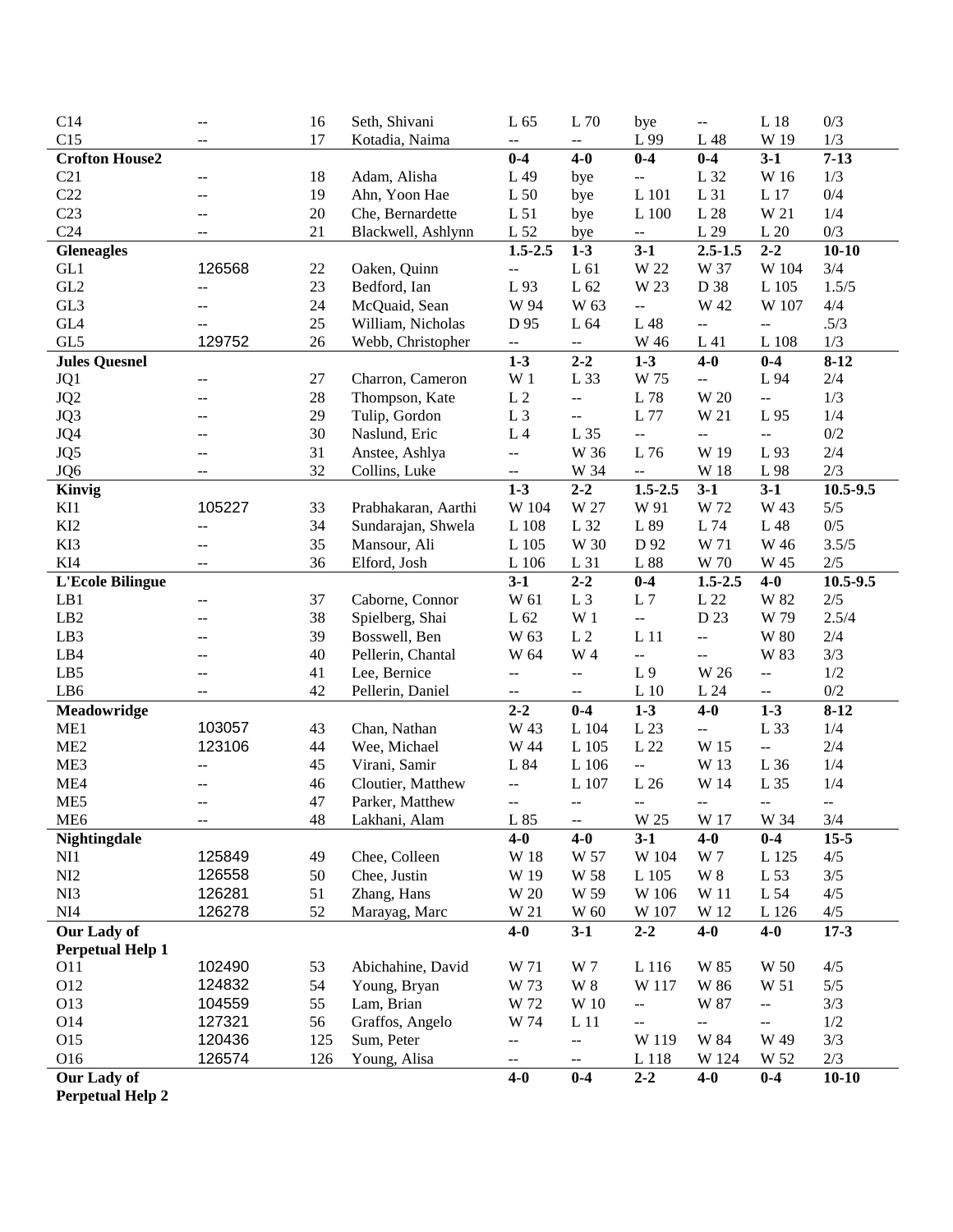| C14                     | $-$                                           | 16       | Seth, Shivani       | L 65                                          | L 70                      | bye                                           | $-$                                           | L18                      | 0/3                      |
|-------------------------|-----------------------------------------------|----------|---------------------|-----------------------------------------------|---------------------------|-----------------------------------------------|-----------------------------------------------|--------------------------|--------------------------|
| C15                     | --                                            | 17       | Kotadia, Naima      | $\overline{a}$                                | $\overline{\phantom{a}}$  | L 99                                          | L 48                                          | W 19                     | 1/3                      |
| <b>Crofton House2</b>   |                                               |          |                     | $0-4$                                         | $4-0$                     | $0-4$                                         | $0-4$                                         | $3-1$                    | $7 - 13$                 |
| C21                     | $\mathord{\hspace{1pt}\text{--}\hspace{1pt}}$ | 18       | Adam, Alisha        | L 49                                          | bye                       | --                                            | L 32                                          | W 16                     | 1/3                      |
| C22                     | $-$                                           | 19       | Ahn, Yoon Hae       | L <sub>50</sub>                               | bye                       | L 101                                         | L 31                                          | L 17                     | 0/4                      |
| C <sub>23</sub>         | $-$                                           | 20       | Che, Bernardette    | L <sub>51</sub>                               | bye                       | L 100                                         | L28                                           | W 21                     | 1/4                      |
| C <sub>24</sub>         | $-$                                           | 21       | Blackwell, Ashlynn  | L 52                                          | bye                       | $\mathord{\hspace{1pt}\text{--}\hspace{1pt}}$ | L 29                                          | L20                      | 0/3                      |
| <b>Gleneagles</b>       |                                               |          |                     | $1.5 - 2.5$                                   | $1-3$                     | $3-1$                                         | $2.5 - 1.5$                                   | $2 - 2$                  | $10 - 10$                |
| GL1                     | 126568                                        | 22       | Oaken, Quinn        | $\mathbb{L}^{\mathbb{L}}$                     | L61                       | W 22                                          | W 37                                          | W 104                    | 3/4                      |
| GL <sub>2</sub>         | --                                            | 23       | Bedford, Ian        | L 93                                          | L 62                      | W 23                                          | D 38                                          | L 105                    | 1.5/5                    |
| GL3                     | --                                            | 24       | McQuaid, Sean       | W 94                                          | W 63                      | $\overline{\phantom{a}}$                      | W 42                                          | W 107                    | 4/4                      |
| GL <sub>4</sub>         |                                               | 25       | William, Nicholas   | D 95                                          | L 64                      | L 48                                          | --                                            | $\overline{a}$           | .5/3                     |
| GL5                     | 129752                                        | 26       | Webb, Christopher   | --                                            | $\overline{\phantom{a}}$  | W 46                                          | L 41                                          | L 108                    | 1/3                      |
| <b>Jules Quesnel</b>    |                                               |          |                     | $1-3$                                         | $2 - 2$                   | $1 - 3$                                       | $4-0$                                         | $0-4$                    | $8 - 12$                 |
| JQ1                     | --                                            | 27       | Charron, Cameron    | W <sub>1</sub>                                | L 33                      | W 75                                          | --                                            | L 94                     | 2/4                      |
| JQ <sub>2</sub>         |                                               | 28       | Thompson, Kate      | $\;$ L $2$                                    | $\overline{\phantom{a}}$  | L 78                                          | W 20                                          | --                       | 1/3                      |
| JQ3                     |                                               | 29       | Tulip, Gordon       | L <sub>3</sub>                                | $\overline{\phantom{a}}$  | L 77                                          | W 21                                          | L 95                     | 1/4                      |
| JQ4                     |                                               | 30       | Naslund, Eric       | L <sub>4</sub>                                | L 35                      | --                                            | --                                            | цц.                      | $0/2$                    |
| JQ5                     | --                                            | 31       | Anstee, Ashlya      | $\overline{a}$                                | W 36                      | L 76                                          | W 19                                          | L 93                     | $2/4$                    |
| JQ6                     | --                                            | 32       | Collins, Luke       | $\overline{\phantom{a}}$                      | W 34                      | $\overline{\phantom{a}}$                      | W 18                                          | $\;$ L $\;$ 98 $\;$      | 2/3                      |
| Kinvig                  |                                               |          |                     | $1 - 3$                                       | $2 - 2$                   | $1.5 - 2.5$                                   | $3-1$                                         | $3-1$                    | 10.5-9.5                 |
| KI1                     | 105227                                        | 33       | Prabhakaran, Aarthi | W 104                                         | W 27                      | W 91                                          | W 72                                          | W 43                     | 5/5                      |
| KI <sub>2</sub>         | --                                            | 34       | Sundarajan, Shwela  | L 108                                         | L 32                      | L 89                                          | L 74                                          | L 48                     | 0/5                      |
| KI3                     | $\overline{a}$                                | 35       | Mansour, Ali        | L 105                                         | W 30                      | D 92                                          | W 71                                          | W 46                     | 3.5/5                    |
| KI4                     | --                                            | 36       | Elford, Josh        | L 106                                         | L 31                      | L 88                                          | W 70                                          | W 45                     | 2/5                      |
| <b>L'Ecole Bilingue</b> |                                               |          |                     | $3-1$                                         | $2 - 2$                   | $0-4$                                         | $1.5 - 2.5$                                   | $4-0$                    | 10.5-9.5                 |
| LB1                     | $-\, -$                                       | 37       | Caborne, Connor     | W 61                                          | L <sub>3</sub>            | L7                                            | L22                                           | W 82                     | $2/5$                    |
| LB2                     | --                                            | 38       | Spielberg, Shai     | L 62                                          | W <sub>1</sub>            | $\overline{\phantom{a}}$                      | D 23                                          | W 79                     | 2.5/4                    |
| LB3                     |                                               | 39       | Bosswell, Ben       | W 63                                          | L <sub>2</sub>            | L11                                           | --                                            | W 80                     | 2/4                      |
| LB4                     | --                                            | 40       | Pellerin, Chantal   | W 64                                          | W 4                       | --                                            | --                                            | W 83                     | 3/3                      |
| LB5                     | --                                            | 41       | Lee, Bernice        | $\mathord{\hspace{1pt}\text{--}\hspace{1pt}}$ | $\overline{\phantom{a}}$  | L <sub>9</sub>                                | W 26                                          | $\overline{\phantom{a}}$ | 1/2                      |
| LB6                     | $-$                                           | 42       | Pellerin, Daniel    | $-$                                           | $\overline{\phantom{a}}$  | $L_1$ 10                                      | L 24                                          | $\overline{\phantom{a}}$ | 0/2                      |
| Meadowridge             |                                               |          |                     | $2 - 2$                                       | $0-4$                     | $1 - 3$                                       | $4-0$                                         | $1 - 3$                  | $8 - 12$                 |
| ME1                     | 103057                                        | 43       | Chan, Nathan        | W 43                                          | L 104                     | L 23                                          | --                                            | L 33                     | 1/4                      |
| ME2                     | 123106                                        | 44       | Wee, Michael        | W 44                                          | L 105                     | L 22                                          | W 15                                          | ш.,                      | 2/4                      |
| ME3                     | $\overline{\phantom{m}}$                      | 45       | Virani, Samir       | L 84                                          | L 106                     | $\overline{\phantom{a}}$                      | W 13                                          | L 36                     | 1/4                      |
| ME4                     |                                               | 46       | Cloutier, Matthew   |                                               | L 107                     | L26                                           | W 14                                          | L 35                     | 1/4                      |
| ME5                     | --<br>$-$                                     | 47       | Parker, Matthew     | --<br>$\overline{a}$                          | $-$                       | $\overline{a}$                                | $\mathord{\hspace{1pt}\text{--}\hspace{1pt}}$ | --                       | $\overline{\phantom{m}}$ |
| ME <sub>6</sub>         |                                               | 48       | Lakhani, Alam       | L 85                                          |                           | W 25                                          | W 17                                          | W 34                     | 3/4                      |
| Nightingdale            | $\mathord{\hspace{1pt}\text{--}\hspace{1pt}}$ |          |                     | $4-0$                                         | --<br>$4-0$               | $3-1$                                         | $4-0$                                         | $0-4$                    | $15 - 5$                 |
| NI1                     | 125849                                        | 49       | Chee, Colleen       | W 18                                          | W 57                      | W 104                                         | W 7                                           | L 125                    | 4/5                      |
| NI2                     | 126558                                        | 50       | Chee, Justin        | W 19                                          | W 58                      | L 105                                         | <b>W</b> 8                                    | L 53                     | 3/5                      |
| NI3                     |                                               |          |                     |                                               |                           |                                               |                                               |                          | 4/5                      |
| NI4                     | 126281<br>126278                              | 51<br>52 | Zhang, Hans         | W 20<br>W 21                                  | W 59<br>W 60              | W 106<br>W 107                                | W 11<br>W 12                                  | L 54                     | 4/5                      |
|                         |                                               |          | Marayag, Marc       |                                               |                           |                                               |                                               | L 126                    |                          |
| Our Lady of             |                                               |          |                     | $4-0$                                         | $3-1$                     | $2 - 2$                                       | $4-0$                                         | $4-0$                    | $17 - 3$                 |
| <b>Perpetual Help 1</b> |                                               |          |                     |                                               |                           |                                               |                                               |                          |                          |
| <b>O11</b>              | 102490                                        | 53       | Abichahine, David   | W 71                                          | W 7                       | L 116                                         | W 85                                          | W 50                     | 4/5                      |
| O12                     | 124832                                        | 54       | Young, Bryan        | W 73                                          | $\ensuremath{\text{W}}$ 8 | W 117                                         | W 86                                          | W 51                     | 5/5                      |
| O13                     | 104559                                        | 55       | Lam, Brian          | W 72                                          | W 10                      | $\overline{\phantom{a}}$                      | W 87                                          | $\overline{\phantom{a}}$ | 3/3                      |
| O14                     | 127321                                        | 56       | Graffos, Angelo     | W 74                                          | L <sub>11</sub>           | --                                            | $\overline{\phantom{a}}$                      | --                       | 1/2                      |
| O15                     | 120436                                        | 125      | Sum, Peter          | $\overline{\phantom{a}}$                      | $\overline{\phantom{a}}$  | W 119                                         | W 84                                          | W 49                     | 3/3                      |
| O16                     | 126574                                        | 126      | Young, Alisa        | $\overline{\phantom{a}}$                      | 44                        | L 118                                         | W 124                                         | W 52                     | $2/3$                    |
| Our Lady of             |                                               |          |                     | $4-0$                                         | $0-4$                     | $2 - 2$                                       | $4-0$                                         | $0 - 4$                  | $10 - 10$                |

**Perpetual Help 2**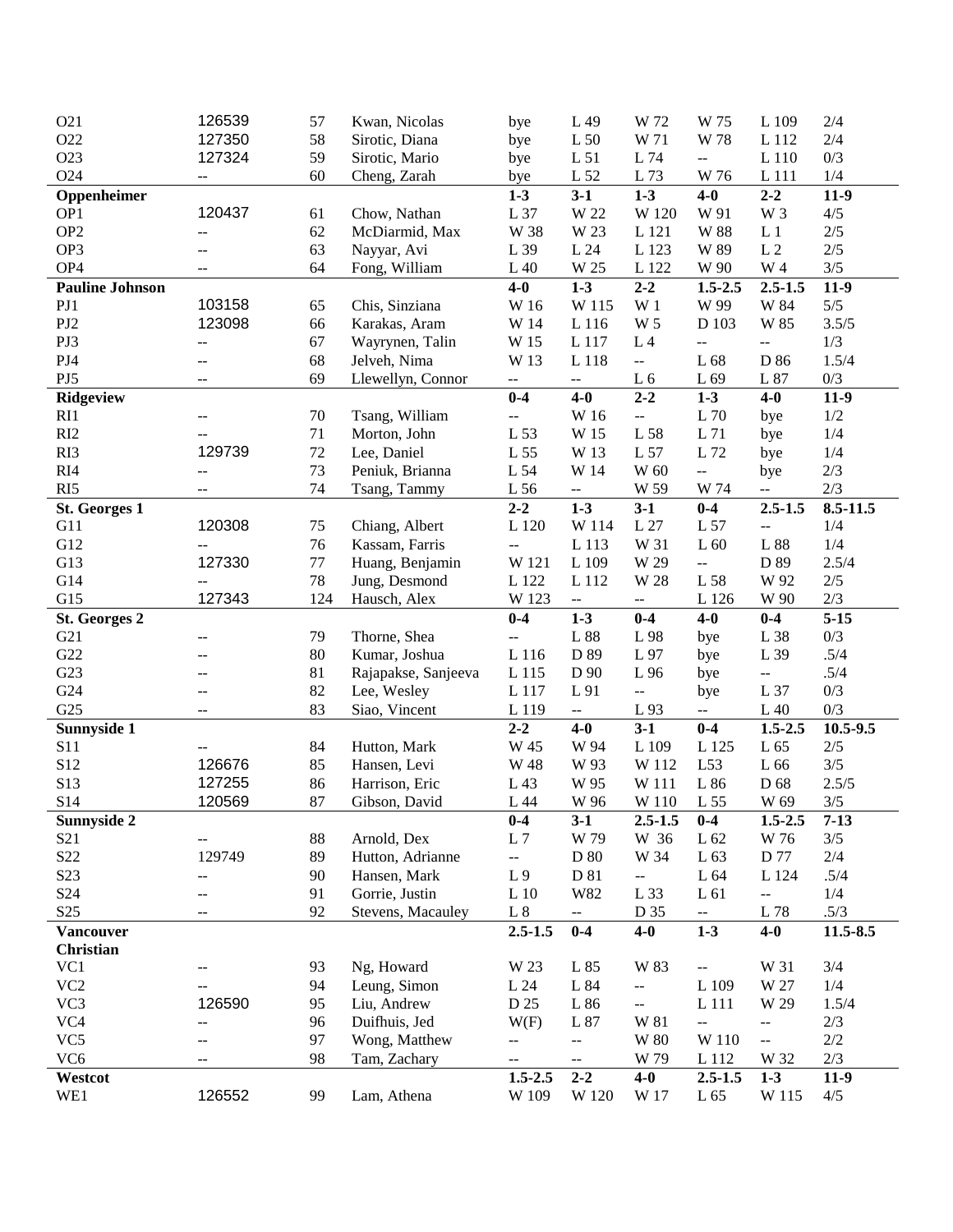| O21                    | 126539                   | 57     | Kwan, Nicolas       | bye                      | L 49                     | W 72                                          | W 75                                          | L 109                    | 2/4                                 |
|------------------------|--------------------------|--------|---------------------|--------------------------|--------------------------|-----------------------------------------------|-----------------------------------------------|--------------------------|-------------------------------------|
| O22                    | 127350                   | 58     | Sirotic, Diana      | bye                      | L <sub>50</sub>          | W 71                                          | W 78                                          | L 112                    | $2/4$                               |
| O23                    | 127324                   | 59     | Sirotic, Mario      | bye                      | L <sub>51</sub>          | L 74                                          | $\mathbb{H} \mathbb{H}$                       | L 110                    | 0/3                                 |
| O24                    | $\overline{\phantom{a}}$ | 60     | Cheng, Zarah        | bye                      | L 52                     | L 73                                          | W 76                                          | L 111                    | 1/4                                 |
| Oppenheimer            |                          |        |                     | $1-3$                    | $3-1$                    | $1 - 3$                                       | $4-0$                                         | $2 - 2$                  | $11-9$                              |
| OP1                    | 120437                   | 61     | Chow, Nathan        | L 37                     | W 22                     | W 120                                         | W 91                                          | W 3                      | 4/5                                 |
| OP <sub>2</sub>        | --                       | 62     | McDiarmid, Max      | W 38                     | W 23                     | L 121                                         | <b>W</b> 88                                   | L <sub>1</sub>           | 2/5                                 |
| OP3                    |                          | 63     | Nayyar, Avi         | L 39                     | L 24                     | L 123                                         | W 89                                          | $\;$ L $2$               | $2/5$                               |
| OP <sub>4</sub>        |                          | 64     | Fong, William       | L40                      | W 25                     | L 122                                         | W 90                                          | W 4                      | $3/5$                               |
| <b>Pauline Johnson</b> |                          |        |                     | $4-0$                    | $1 - 3$                  | $2 - 2$                                       | $1.5 - 2.5$                                   | $2.5 - 1.5$              | $11-9$                              |
| PJ1                    | 103158                   | 65     | Chis, Sinziana      | W 16                     | W 115                    | W <sub>1</sub>                                | W 99                                          | W 84                     | $5/5$                               |
| PJ2                    | 123098                   | 66     | Karakas, Aram       | W 14                     | L 116                    | W <sub>5</sub>                                | D 103                                         | W 85                     | 3.5/5                               |
| PJ3                    | --                       | 67     | Wayrynen, Talin     | W 15                     | L 117                    | $\;$ L $\;$ 4 $\;$                            | $\overline{\phantom{a}}$                      | $\overline{\phantom{a}}$ | 1/3                                 |
| PJ4                    | --                       | 68     | Jelveh, Nima        | W 13                     | L 118                    | $\mathbb{L}^{\mathbb{L}}$                     | L 68                                          | D 86                     | 1.5/4                               |
| PJ5                    | $-$                      | 69     | Llewellyn, Connor   | $\overline{\phantom{a}}$ | 44                       | L <sub>6</sub>                                | L 69                                          | L 87                     | 0/3                                 |
|                        |                          |        |                     | $0-4$                    | $4-0$                    | $2 - 2$                                       | $1-3$                                         | $4-0$                    | $11-9$                              |
| Ridgeview              |                          |        |                     |                          |                          |                                               | $\rm L$ 70                                    |                          | 1/2                                 |
| RI1                    |                          | 70     | Tsang, William      | --                       | W 16                     | $\mathbb{Z}^2$                                |                                               | bye                      |                                     |
| RI2                    | 129739                   | 71     | Morton, John        | L 53                     | W 15                     | L 58                                          | L 71<br>L 72                                  | bye                      | 1/4                                 |
| RI3                    |                          | $72\,$ | Lee, Daniel         | L 55                     | W 13                     | L 57                                          |                                               | bye                      | 1/4                                 |
| RI4                    | --                       | 73     | Peniuk, Brianna     | L 54                     | W 14                     | W 60                                          | $\overline{\phantom{a}}$                      | bye                      | $2/3$                               |
| RI5                    | --                       | 74     | Tsang, Tammy        | L 56                     | $-\, -$                  | W 59                                          | W 74                                          | $\overline{\phantom{a}}$ | 2/3                                 |
| St. Georges 1          |                          |        |                     | $2 - 2$                  | $1 - 3$                  | $3-1$                                         | $0-4$                                         | $2.5 - 1.5$              | 8.5-11.5                            |
| G11                    | 120308                   | 75     | Chiang, Albert      | L 120                    | W 114                    | L27                                           | L 57                                          | $\overline{\phantom{a}}$ | 1/4                                 |
| G12                    | --                       | 76     | Kassam, Farris      | $\overline{a}$           | L 113                    | W 31                                          | L <sub>60</sub>                               | L 88                     | 1/4                                 |
| G13                    | 127330                   | 77     | Huang, Benjamin     | W 121                    | L 109                    | W 29                                          | $\omega_{\rm m}$                              | D 89                     | 2.5/4                               |
| G14                    | --                       | 78     | Jung, Desmond       | L 122                    | L 112                    | W 28                                          | L 58                                          | W 92                     | $2/5$                               |
| G15                    | 127343                   | 124    | Hausch, Alex        | W 123                    | 4                        | $\mathord{\hspace{1pt}\text{--}\hspace{1pt}}$ | L 126                                         | W 90                     | $2/3$                               |
| <b>St. Georges 2</b>   |                          |        |                     | $0-4$                    | $1 - 3$                  | $0-4$                                         | $4-0$                                         | $0 - 4$                  | $5 - 15$                            |
| G21                    | --                       | 79     | Thorne, Shea        | $\overline{\phantom{a}}$ | $\;$ L $88$              | L 98                                          | bye                                           | L 38                     | 0/3                                 |
| G22                    |                          | 80     | Kumar, Joshua       | L 116                    | D 89                     | L 97                                          | bye                                           | L 39                     | .5/4                                |
|                        |                          |        | Rajapakse, Sanjeeva | L 115                    | D 90                     | L 96                                          | bye                                           | $\mathbb{H}^2$           | .5/4                                |
| G23                    |                          | 81     |                     |                          |                          |                                               |                                               |                          |                                     |
| G24                    | ٠.                       | 82     | Lee, Wesley         | L 117                    | L 91                     | $\overline{\phantom{a}}$                      | bye                                           | L 37                     | 0/3                                 |
| G25                    | $-$                      | 83     | Siao, Vincent       | L 119                    | $\overline{\phantom{a}}$ | L 93                                          | $\mathbb{H}^{\mathbb{H}}$                     | L <sub>40</sub>          | 0/3                                 |
| Sunnyside 1            |                          |        |                     | $2 - 2$                  | $4-0$                    | $3-1$                                         | $0-4$                                         | $1.5 - 2.5$              |                                     |
| S11                    |                          | 84     | Hutton, Mark        | W 45                     | W 94                     | L 109                                         | L 125                                         | L 65                     | $2/5$                               |
| S <sub>12</sub>        | 126676                   | 85     | Hansen, Levi        | W 48                     | W 93                     | W 112                                         | L53                                           | L 66                     | $3/5$                               |
| S <sub>13</sub>        | 127255                   | 86     | Harrison, Eric      | L 43                     | W 95                     | W 111                                         | L 86                                          | D 68                     | 2.5/5                               |
| S14                    | 120569                   | 87     | Gibson, David       | L 44                     | W 96                     | W 110                                         | L 55                                          | W 69                     | 3/5                                 |
| Sunnyside 2            |                          |        |                     | $0-4$                    | $3-1$                    | $2.5 - 1.5$                                   | $0-4$                                         | $1.5 - 2.5$              | $7-13$                              |
| S <sub>21</sub>        |                          | 88     | Arnold, Dex         | L <sub>7</sub>           | W 79                     | W 36                                          | L 62                                          | W 76                     | 3/5                                 |
| S <sub>22</sub>        | 129749                   | 89     | Hutton, Adrianne    | --                       | D 80                     | W 34                                          | L 63                                          | D 77                     | 2/4                                 |
| S <sub>23</sub>        | --                       | 90     | Hansen, Mark        | L <sub>9</sub>           | D 81                     | --                                            | L 64                                          | L 124                    | .5/4                                |
|                        | --                       | 91     | Gorrie, Justin      |                          | W82                      | L 33                                          | L 61                                          | $\overline{\phantom{a}}$ |                                     |
| S <sub>24</sub>        | $-$                      | 92     |                     | $\;$ L $10$              | $\overline{\phantom{a}}$ |                                               | $-\!$ –                                       |                          | $1/4$                               |
| S <sub>25</sub>        |                          |        | Stevens, Macauley   | $\;$ L $\;$              |                          | D 35                                          |                                               |                          | .5/3                                |
| <b>Vancouver</b>       |                          |        |                     | $2.5 - 1.5$              | $0-4$                    | $4-0$                                         | $1 - 3$                                       | $4-0$                    |                                     |
| <b>Christian</b>       |                          |        |                     |                          |                          |                                               |                                               |                          |                                     |
| VC1                    | --                       | 93     | Ng, Howard          | W 23                     | L 85                     | W 83                                          | $\mathord{\hspace{1pt}\text{--}\hspace{1pt}}$ | W 31                     | 3/4                                 |
| VC <sub>2</sub>        |                          | 94     | Leung, Simon        | L 24                     | L 84                     | $\overline{\phantom{a}}$                      | $\;$ L $109$                                  | W 27                     | 1/4                                 |
| VC3                    | 126590                   | 95     | Liu, Andrew         | D 25                     | L 86                     | $\overline{\phantom{a}}$                      | L 111                                         | W 29                     | 1.5/4                               |
| VC4                    | --                       | 96     | Duifhuis, Jed       | W(F)                     | L 87                     | W 81                                          | $\overline{\phantom{a}}$                      | $\overline{\phantom{a}}$ | $2/3$                               |
| VC <sub>5</sub>        | --                       | 97     | Wong, Matthew       | 44                       | --                       | $\ensuremath{\text{W}}$ 80                    | W 110                                         | $\overline{\phantom{a}}$ | 10.5-9.5<br>$11.5 - 8.5$<br>$2/2\,$ |
| VC <sub>6</sub>        | --                       | 98     | Tam, Zachary        | $\overline{\phantom{m}}$ | --                       | W 79                                          | L 112                                         | W 32                     | 2/3                                 |
| Westcot<br>WE1         | 126552                   | 99     | Lam, Athena         | $1.5 - 2.5$<br>W 109     | $2 - 2$<br>W 120         | $4-0$<br>W 17                                 | $2.5 - 1.5$<br>$\rm L$ $65$                   | $1-3$<br>W 115           | $11-9$<br>4/5                       |